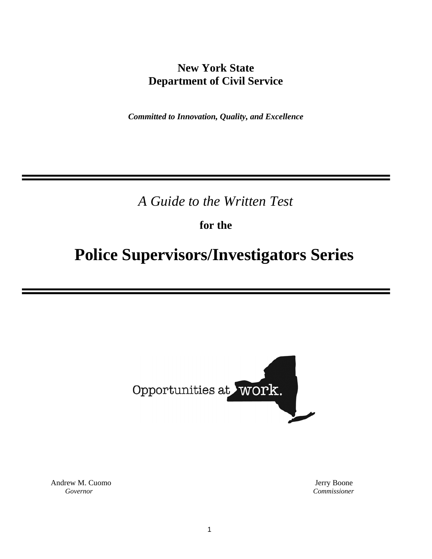# **New York State Department of Civil Service**

*Committed to Innovation, Quality, and Excellence* 

*A Guide to the Written Test*

**for the** 

# **Police Supervisors/Investigators Series**



Andrew M. Cuomo Jerry Boone  *Governor Commissioner*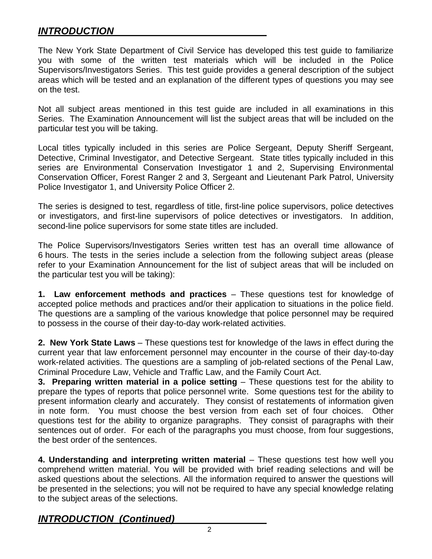# *INTRODUCTION*

The New York State Department of Civil Service has developed this test guide to familiarize you with some of the written test materials which will be included in the Police Supervisors/Investigators Series. This test guide provides a general description of the subject areas which will be tested and an explanation of the different types of questions you may see on the test.

Not all subject areas mentioned in this test guide are included in all examinations in this Series. The Examination Announcement will list the subject areas that will be included on the particular test you will be taking.

Local titles typically included in this series are Police Sergeant, Deputy Sheriff Sergeant, Detective, Criminal Investigator, and Detective Sergeant. State titles typically included in this series are Environmental Conservation Investigator 1 and 2, Supervising Environmental Conservation Officer, Forest Ranger 2 and 3, Sergeant and Lieutenant Park Patrol, University Police Investigator 1, and University Police Officer 2.

The series is designed to test, regardless of title, first-line police supervisors, police detectives or investigators, and first-line supervisors of police detectives or investigators. In addition, second-line police supervisors for some state titles are included.

The Police Supervisors/Investigators Series written test has an overall time allowance of 6 hours. The tests in the series include a selection from the following subject areas (please refer to your Examination Announcement for the list of subject areas that will be included on the particular test you will be taking):

**1. Law enforcement methods and practices** – These questions test for knowledge of accepted police methods and practices and/or their application to situations in the police field. The questions are a sampling of the various knowledge that police personnel may be required to possess in the course of their day-to-day work-related activities.

**2. New York State Laws** – These questions test for knowledge of the laws in effect during the current year that law enforcement personnel may encounter in the course of their day-to-day work-related activities. The questions are a sampling of job-related sections of the Penal Law, Criminal Procedure Law, Vehicle and Traffic Law, and the Family Court Act.

**3. Preparing written material in a police setting – These questions test for the ability to** prepare the types of reports that police personnel write. Some questions test for the ability to present information clearly and accurately. They consist of restatements of information given in note form. You must choose the best version from each set of four choices. Other questions test for the ability to organize paragraphs. They consist of paragraphs with their sentences out of order. For each of the paragraphs you must choose, from four suggestions, the best order of the sentences.

**4. Understanding and interpreting written material** – These questions test how well you comprehend written material. You will be provided with brief reading selections and will be asked questions about the selections. All the information required to answer the questions will be presented in the selections; you will not be required to have any special knowledge relating to the subject areas of the selections.

# *INTRODUCTION (Continued)*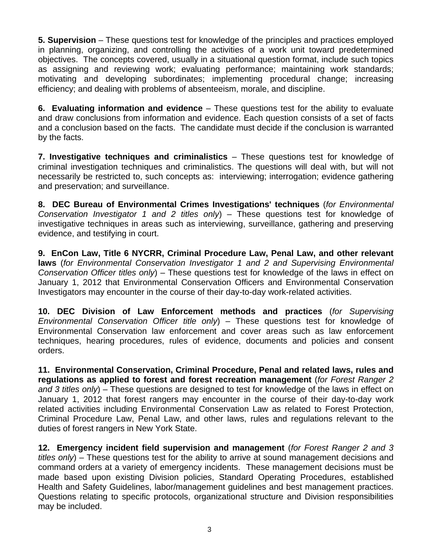**5. Supervision** – These questions test for knowledge of the principles and practices employed in planning, organizing, and controlling the activities of a work unit toward predetermined objectives. The concepts covered, usually in a situational question format, include such topics as assigning and reviewing work; evaluating performance; maintaining work standards; motivating and developing subordinates; implementing procedural change; increasing efficiency; and dealing with problems of absenteeism, morale, and discipline.

**6. Evaluating information and evidence** – These questions test for the ability to evaluate and draw conclusions from information and evidence. Each question consists of a set of facts and a conclusion based on the facts. The candidate must decide if the conclusion is warranted by the facts.

**7. Investigative techniques and criminalistics** – These questions test for knowledge of criminal investigation techniques and criminalistics. The questions will deal with, but will not necessarily be restricted to, such concepts as: interviewing; interrogation; evidence gathering and preservation; and surveillance.

**8. DEC Bureau of Environmental Crimes Investigations' techniques** (*for Environmental Conservation Investigator 1 and 2 titles only*) – These questions test for knowledge of investigative techniques in areas such as interviewing, surveillance, gathering and preserving evidence, and testifying in court.

**9. EnCon Law, Title 6 NYCRR, Criminal Procedure Law, Penal Law, and other relevant laws** (*for Environmental Conservation Investigator 1 and 2 and Supervising Environmental Conservation Officer titles only*) – These questions test for knowledge of the laws in effect on January 1, 2012 that Environmental Conservation Officers and Environmental Conservation Investigators may encounter in the course of their day-to-day work-related activities.

**10. DEC Division of Law Enforcement methods and practices** (*for Supervising Environmental Conservation Officer title only*) – These questions test for knowledge of Environmental Conservation law enforcement and cover areas such as law enforcement techniques, hearing procedures, rules of evidence, documents and policies and consent orders.

**11. Environmental Conservation, Criminal Procedure, Penal and related laws, rules and regulations as applied to forest and forest recreation management** (*for Forest Ranger 2 and 3 titles only*) – These questions are designed to test for knowledge of the laws in effect on January 1, 2012 that forest rangers may encounter in the course of their day-to-day work related activities including Environmental Conservation Law as related to Forest Protection, Criminal Procedure Law, Penal Law, and other laws, rules and regulations relevant to the duties of forest rangers in New York State.

**12. Emergency incident field supervision and management** (*for Forest Ranger 2 and 3 titles only*) – These questions test for the ability to arrive at sound management decisions and command orders at a variety of emergency incidents. These management decisions must be made based upon existing Division policies, Standard Operating Procedures, established Health and Safety Guidelines, labor/management guidelines and best management practices. Questions relating to specific protocols, organizational structure and Division responsibilities may be included.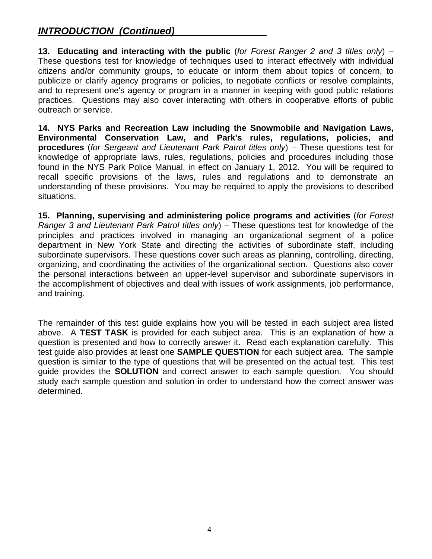# *INTRODUCTION (Continued)*

**13. Educating and interacting with the public** (*for Forest Ranger 2 and 3 titles only*) – These questions test for knowledge of techniques used to interact effectively with individual citizens and/or community groups, to educate or inform them about topics of concern, to publicize or clarify agency programs or policies, to negotiate conflicts or resolve complaints, and to represent one's agency or program in a manner in keeping with good public relations practices. Questions may also cover interacting with others in cooperative efforts of public outreach or service.

**14. NYS Parks and Recreation Law including the Snowmobile and Navigation Laws, Environmental Conservation Law, and Park's rules, regulations, policies, and procedures** (*for Sergeant and Lieutenant Park Patrol titles only*) – These questions test for knowledge of appropriate laws, rules, regulations, policies and procedures including those found in the NYS Park Police Manual, in effect on January 1, 2012. You will be required to recall specific provisions of the laws, rules and regulations and to demonstrate an understanding of these provisions. You may be required to apply the provisions to described situations.

**15. Planning, supervising and administering police programs and activities** (*for Forest Ranger 3 and Lieutenant Park Patrol titles only*) – These questions test for knowledge of the principles and practices involved in managing an organizational segment of a police department in New York State and directing the activities of subordinate staff, including subordinate supervisors. These questions cover such areas as planning, controlling, directing, organizing, and coordinating the activities of the organizational section. Questions also cover the personal interactions between an upper-level supervisor and subordinate supervisors in the accomplishment of objectives and deal with issues of work assignments, job performance, and training.

The remainder of this test guide explains how you will be tested in each subject area listed above. A **TEST TASK** is provided for each subject area. This is an explanation of how a question is presented and how to correctly answer it. Read each explanation carefully. This test guide also provides at least one **SAMPLE QUESTION** for each subject area. The sample question is similar to the type of questions that will be presented on the actual test. This test guide provides the **SOLUTION** and correct answer to each sample question. You should study each sample question and solution in order to understand how the correct answer was determined.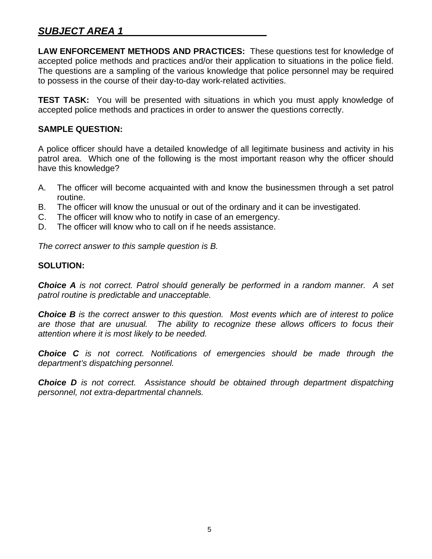**LAW ENFORCEMENT METHODS AND PRACTICES:** These questions test for knowledge of accepted police methods and practices and/or their application to situations in the police field. The questions are a sampling of the various knowledge that police personnel may be required to possess in the course of their day-to-day work-related activities.

**TEST TASK:** You will be presented with situations in which you must apply knowledge of accepted police methods and practices in order to answer the questions correctly.

### **SAMPLE QUESTION:**

A police officer should have a detailed knowledge of all legitimate business and activity in his patrol area. Which one of the following is the most important reason why the officer should have this knowledge?

- A. The officer will become acquainted with and know the businessmen through a set patrol routine.
- B. The officer will know the unusual or out of the ordinary and it can be investigated.
- C. The officer will know who to notify in case of an emergency.
- D. The officer will know who to call on if he needs assistance.

*The correct answer to this sample question is B.* 

### **SOLUTION:**

*Choice A is not correct. Patrol should generally be performed in a random manner. A set patrol routine is predictable and unacceptable.*

*Choice B is the correct answer to this question. Most events which are of interest to police are those that are unusual. The ability to recognize these allows officers to focus their attention where it is most likely to be needed.* 

*Choice C is not correct. Notifications of emergencies should be made through the department's dispatching personnel.* 

*Choice D is not correct. Assistance should be obtained through department dispatching personnel, not extra-departmental channels.*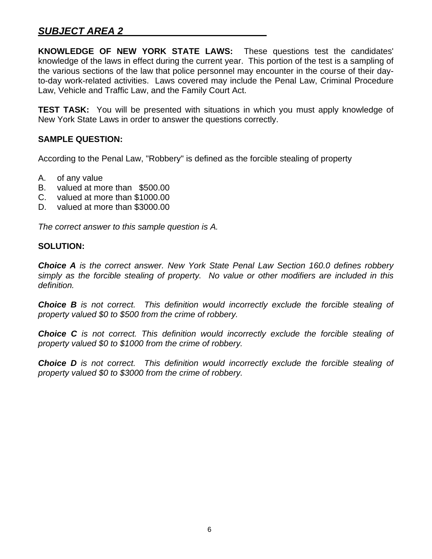**KNOWLEDGE OF NEW YORK STATE LAWS:** These questions test the candidates' knowledge of the laws in effect during the current year. This portion of the test is a sampling of the various sections of the law that police personnel may encounter in the course of their dayto-day work-related activities. Laws covered may include the Penal Law, Criminal Procedure Law, Vehicle and Traffic Law, and the Family Court Act.

**TEST TASK:** You will be presented with situations in which you must apply knowledge of New York State Laws in order to answer the questions correctly.

### **SAMPLE QUESTION:**

According to the Penal Law, "Robbery" is defined as the forcible stealing of property

- A. of any value
- B. valued at more than \$500.00
- C. valued at more than \$1000.00
- D. valued at more than \$3000.00

*The correct answer to this sample question is A.* 

#### **SOLUTION:**

*Choice A is the correct answer. New York State Penal Law Section 160.0 defines robbery simply as the forcible stealing of property. No value or other modifiers are included in this definition.* 

*Choice B is not correct. This definition would incorrectly exclude the forcible stealing of property valued \$0 to \$500 from the crime of robbery.* 

*Choice C is not correct. This definition would incorrectly exclude the forcible stealing of property valued \$0 to \$1000 from the crime of robbery.* 

*Choice D is not correct. This definition would incorrectly exclude the forcible stealing of property valued \$0 to \$3000 from the crime of robbery.*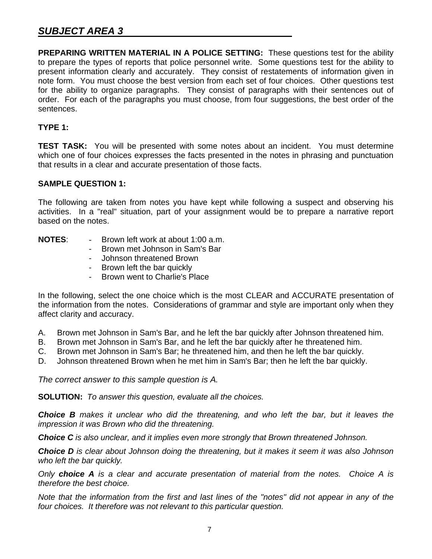**PREPARING WRITTEN MATERIAL IN A POLICE SETTING:** These questions test for the ability to prepare the types of reports that police personnel write. Some questions test for the ability to present information clearly and accurately. They consist of restatements of information given in note form. You must choose the best version from each set of four choices. Other questions test for the ability to organize paragraphs. They consist of paragraphs with their sentences out of order. For each of the paragraphs you must choose, from four suggestions, the best order of the sentences.

### **TYPE 1:**

**TEST TASK:** You will be presented with some notes about an incident. You must determine which one of four choices expresses the facts presented in the notes in phrasing and punctuation that results in a clear and accurate presentation of those facts.

#### **SAMPLE QUESTION 1:**

The following are taken from notes you have kept while following a suspect and observing his activities. In a "real" situation, part of your assignment would be to prepare a narrative report based on the notes.

- **NOTES**: Brown left work at about 1:00 a.m.
	- Brown met Johnson in Sam's Bar
	- Johnson threatened Brown
	- Brown left the bar quickly
	- Brown went to Charlie's Place

In the following, select the one choice which is the most CLEAR and ACCURATE presentation of the information from the notes. Considerations of grammar and style are important only when they affect clarity and accuracy.

- A. Brown met Johnson in Sam's Bar, and he left the bar quickly after Johnson threatened him.
- B. Brown met Johnson in Sam's Bar, and he left the bar quickly after he threatened him.
- C. Brown met Johnson in Sam's Bar; he threatened him, and then he left the bar quickly.
- D. Johnson threatened Brown when he met him in Sam's Bar; then he left the bar quickly.

*The correct answer to this sample question is A.* 

**SOLUTION:** *To answer this question, evaluate all the choices.* 

*Choice B makes it unclear who did the threatening, and who left the bar, but it leaves the impression it was Brown who did the threatening.* 

*Choice C is also unclear, and it implies even more strongly that Brown threatened Johnson.* 

*Choice D is clear about Johnson doing the threatening, but it makes it seem it was also Johnson who left the bar quickly.* 

*Only choice A is a clear and accurate presentation of material from the notes. Choice A is therefore the best choice.* 

*Note that the information from the first and last lines of the "notes" did not appear in any of the four choices. It therefore was not relevant to this particular question.*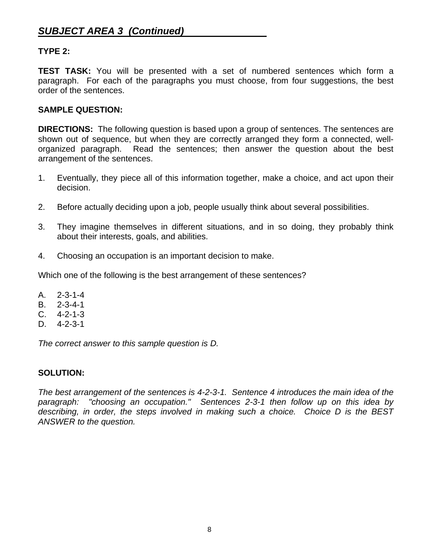### **TYPE 2:**

**TEST TASK:** You will be presented with a set of numbered sentences which form a paragraph. For each of the paragraphs you must choose, from four suggestions, the best order of the sentences.

### **SAMPLE QUESTION:**

**DIRECTIONS:** The following question is based upon a group of sentences. The sentences are shown out of sequence, but when they are correctly arranged they form a connected, wellorganized paragraph. Read the sentences; then answer the question about the best arrangement of the sentences.

- 1. Eventually, they piece all of this information together, make a choice, and act upon their decision.
- 2. Before actually deciding upon a job, people usually think about several possibilities.
- 3. They imagine themselves in different situations, and in so doing, they probably think about their interests, goals, and abilities.
- 4. Choosing an occupation is an important decision to make.

Which one of the following is the best arrangement of these sentences?

- A. 2-3-1-4
- B. 2-3-4-1
- C. 4-2-1-3
- D. 4-2-3-1

*The correct answer to this sample question is D.* 

#### **SOLUTION:**

*The best arrangement of the sentences is 4-2-3-1. Sentence 4 introduces the main idea of the paragraph: "choosing an occupation." Sentences 2-3-1 then follow up on this idea by describing, in order, the steps involved in making such a choice. Choice D is the BEST ANSWER to the question.*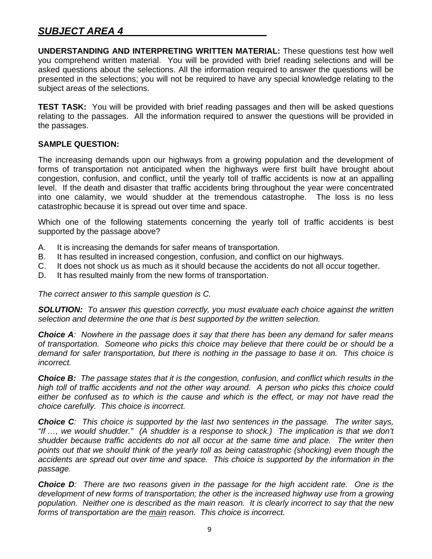**UNDERSTANDING AND INTERPRETING WRITTEN MATERIAL:** These questions test how well you comprehend written material. You will be provided with brief reading selections and will be asked questions about the selections. All the information required to answer the questions will be presented in the selections; you will not be required to have any special knowledge relating to the subject areas of the selections.

**TEST TASK:** You will be provided with brief reading passages and then will be asked questions relating to the passages. All the information required to answer the questions will be provided in the passages.

#### **SAMPLE QUESTION:**

The increasing demands upon our highways from a growing population and the development of forms of transportation not anticipated when the highways were first built have brought about congestion, confusion, and conflict, until the yearly toll of traffic accidents is now at an appalling level. If the death and disaster that traffic accidents bring throughout the year were concentrated into one calamity, we would shudder at the tremendous catastrophe. The loss is no less catastrophic because it is spread out over time and space.

Which one of the following statements concerning the yearly toll of traffic accidents is best supported by the passage above?

- A. It is increasing the demands for safer means of transportation.
- B. It has resulted in increased congestion, confusion, and conflict on our highways.
- C. It does not shock us as much as it should because the accidents do not all occur together.
- D. It has resulted mainly from the new forms of transportation.

*The correct answer to this sample question is C.* 

*SOLUTION: To answer this question correctly, you must evaluate each choice against the written selection and determine the one that is best supported by the written selection.* 

*Choice A: Nowhere in the passage does it say that there has been any demand for safer means of transportation. Someone who picks this choice may believe that there could be or should be a demand for safer transportation, but there is nothing in the passage to base it on. This choice is incorrect.* 

*Choice B: The passage states that it is the congestion, confusion, and conflict which results in the high toll of traffic accidents and not the other way around. A person who picks this choice could*  either be confused as to which is the cause and which is the effect, or may not have read the *choice carefully. This choice is incorrect.* 

*Choice C: This choice is supported by the last two sentences in the passage. The writer says, "If …, we would shudder." (A shudder is a response to shock.) The implication is that we don't shudder because traffic accidents do not all occur at the same time and place. The writer then points out that we should think of the yearly toll as being catastrophic (shocking) even though the accidents are spread out over time and space. This choice is supported by the information in the passage.* 

*Choice D: There are two reasons given in the passage for the high accident rate. One is the*  development of new forms of transportation; the other is the increased highway use from a growing *population. Neither one is described as the main reason. It is clearly incorrect to say that the new forms of transportation are the main reason. This choice is incorrect.*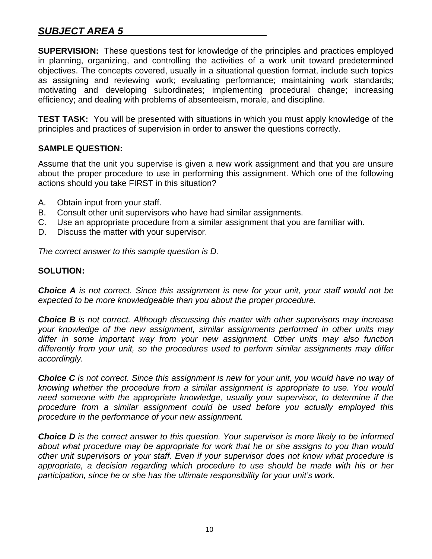**SUPERVISION:** These questions test for knowledge of the principles and practices employed in planning, organizing, and controlling the activities of a work unit toward predetermined objectives. The concepts covered, usually in a situational question format, include such topics as assigning and reviewing work; evaluating performance; maintaining work standards; motivating and developing subordinates; implementing procedural change; increasing efficiency; and dealing with problems of absenteeism, morale, and discipline.

**TEST TASK:** You will be presented with situations in which you must apply knowledge of the principles and practices of supervision in order to answer the questions correctly.

### **SAMPLE QUESTION:**

Assume that the unit you supervise is given a new work assignment and that you are unsure about the proper procedure to use in performing this assignment. Which one of the following actions should you take FIRST in this situation?

- A. Obtain input from your staff.
- B. Consult other unit supervisors who have had similar assignments.
- C. Use an appropriate procedure from a similar assignment that you are familiar with.
- D. Discuss the matter with your supervisor.

*The correct answer to this sample question is D.* 

#### **SOLUTION:**

*Choice A is not correct. Since this assignment is new for your unit, your staff would not be expected to be more knowledgeable than you about the proper procedure.* 

*Choice B is not correct. Although discussing this matter with other supervisors may increase your knowledge of the new assignment, similar assignments performed in other units may differ in some important way from your new assignment. Other units may also function differently from your unit, so the procedures used to perform similar assignments may differ accordingly.* 

*Choice C is not correct. Since this assignment is new for your unit, you would have no way of knowing whether the procedure from a similar assignment is appropriate to use. You would need someone with the appropriate knowledge, usually your supervisor, to determine if the procedure from a similar assignment could be used before you actually employed this procedure in the performance of your new assignment.* 

*Choice D is the correct answer to this question. Your supervisor is more likely to be informed about what procedure may be appropriate for work that he or she assigns to you than would other unit supervisors or your staff. Even if your supervisor does not know what procedure is*  appropriate, a decision regarding which procedure to use should be made with his or her *participation, since he or she has the ultimate responsibility for your unit's work.*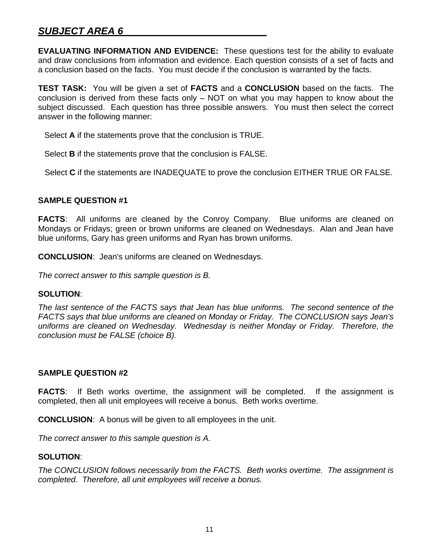**EVALUATING INFORMATION AND EVIDENCE:** These questions test for the ability to evaluate and draw conclusions from information and evidence. Each question consists of a set of facts and a conclusion based on the facts. You must decide if the conclusion is warranted by the facts.

**TEST TASK:** You will be given a set of **FACTS** and a **CONCLUSION** based on the facts. The conclusion is derived from these facts only **–** NOT on what you may happen to know about the subject discussed. Each question has three possible answers. You must then select the correct answer in the following manner:

Select **A** if the statements prove that the conclusion is TRUE.

Select **B** if the statements prove that the conclusion is FALSE.

Select **C** if the statements are INADEQUATE to prove the conclusion EITHER TRUE OR FALSE.

#### **SAMPLE QUESTION #1**

**FACTS:** All uniforms are cleaned by the Conroy Company. Blue uniforms are cleaned on Mondays or Fridays; green or brown uniforms are cleaned on Wednesdays. Alan and Jean have blue uniforms, Gary has green uniforms and Ryan has brown uniforms.

**CONCLUSION**: Jean's uniforms are cleaned on Wednesdays.

*The correct answer to this sample question is B.*

#### **SOLUTION**:

*The last sentence of the FACTS says that Jean has blue uniforms. The second sentence of the FACTS says that blue uniforms are cleaned on Monday or Friday. The CONCLUSION says Jean's uniforms are cleaned on Wednesday. Wednesday is neither Monday or Friday. Therefore, the conclusion must be FALSE (choice B).* 

#### **SAMPLE QUESTION #2**

**FACTS:** If Beth works overtime, the assignment will be completed. If the assignment is completed, then all unit employees will receive a bonus. Beth works overtime.

**CONCLUSION**: A bonus will be given to all employees in the unit.

*The correct answer to this sample question is A.* 

#### **SOLUTION**:

*The CONCLUSION follows necessarily from the FACTS. Beth works overtime. The assignment is completed. Therefore, all unit employees will receive a bonus.*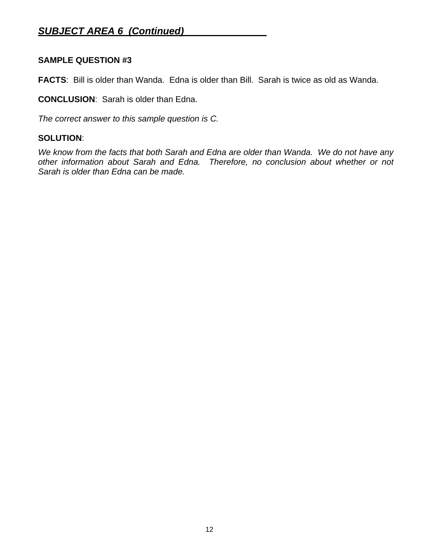### **SAMPLE QUESTION #3**

**FACTS**: Bill is older than Wanda. Edna is older than Bill. Sarah is twice as old as Wanda.

**CONCLUSION**: Sarah is older than Edna.

*The correct answer to this sample question is C.* 

### **SOLUTION**:

*We know from the facts that both Sarah and Edna are older than Wanda. We do not have any other information about Sarah and Edna. Therefore, no conclusion about whether or not Sarah is older than Edna can be made.*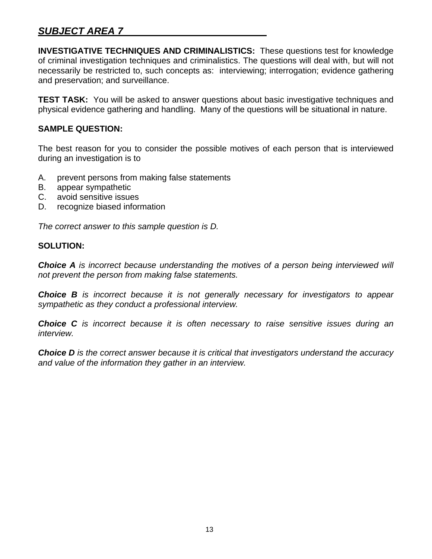**INVESTIGATIVE TECHNIQUES AND CRIMINALISTICS:** These questions test for knowledge of criminal investigation techniques and criminalistics. The questions will deal with, but will not necessarily be restricted to, such concepts as: interviewing; interrogation; evidence gathering and preservation; and surveillance.

**TEST TASK:** You will be asked to answer questions about basic investigative techniques and physical evidence gathering and handling. Many of the questions will be situational in nature.

### **SAMPLE QUESTION:**

The best reason for you to consider the possible motives of each person that is interviewed during an investigation is to

- A. prevent persons from making false statements
- B. appear sympathetic
- C. avoid sensitive issues
- D. recognize biased information

*The correct answer to this sample question is D.* 

#### **SOLUTION:**

*Choice A is incorrect because understanding the motives of a person being interviewed will not prevent the person from making false statements.* 

*Choice B is incorrect because it is not generally necessary for investigators to appear sympathetic as they conduct a professional interview.* 

*Choice C is incorrect because it is often necessary to raise sensitive issues during an interview.* 

**Choice D** is the correct answer because it is critical that investigators understand the accuracy *and value of the information they gather in an interview.*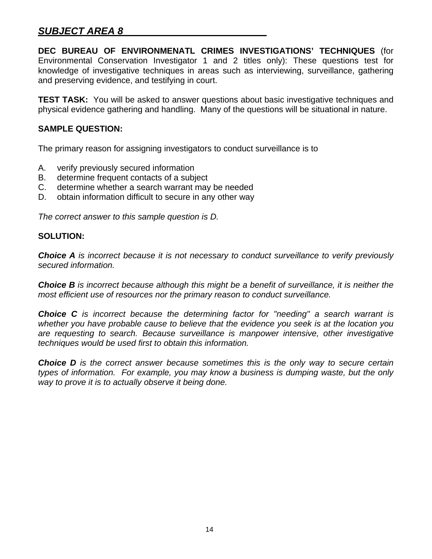**DEC BUREAU OF ENVIRONMENATL CRIMES INVESTIGATIONS' TECHNIQUES** (for Environmental Conservation Investigator 1 and 2 titles only): These questions test for knowledge of investigative techniques in areas such as interviewing, surveillance, gathering and preserving evidence, and testifying in court.

**TEST TASK:** You will be asked to answer questions about basic investigative techniques and physical evidence gathering and handling. Many of the questions will be situational in nature.

### **SAMPLE QUESTION:**

The primary reason for assigning investigators to conduct surveillance is to

- A. verify previously secured information
- B. determine frequent contacts of a subject
- C. determine whether a search warrant may be needed
- D. obtain information difficult to secure in any other way

*The correct answer to this sample question is D.* 

#### **SOLUTION:**

*Choice A is incorrect because it is not necessary to conduct surveillance to verify previously secured information.* 

*Choice B is incorrect because although this might be a benefit of surveillance, it is neither the most efficient use of resources nor the primary reason to conduct surveillance.* 

*Choice C is incorrect because the determining factor for "needing" a search warrant is whether you have probable cause to believe that the evidence you seek is at the location you are requesting to search. Because surveillance is manpower intensive, other investigative techniques would be used first to obtain this information.* 

*Choice D is the correct answer because sometimes this is the only way to secure certain types of information. For example, you may know a business is dumping waste, but the only way to prove it is to actually observe it being done.*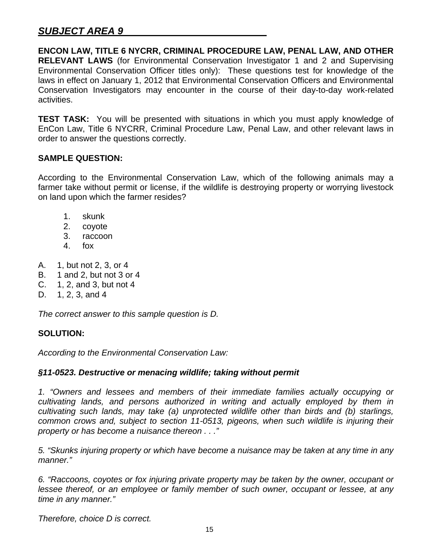**ENCON LAW, TITLE 6 NYCRR, CRIMINAL PROCEDURE LAW, PENAL LAW, AND OTHER RELEVANT LAWS** (for Environmental Conservation Investigator 1 and 2 and Supervising Environmental Conservation Officer titles only): These questions test for knowledge of the laws in effect on January 1, 2012 that Environmental Conservation Officers and Environmental Conservation Investigators may encounter in the course of their day-to-day work-related activities.

**TEST TASK:** You will be presented with situations in which you must apply knowledge of EnCon Law, Title 6 NYCRR, Criminal Procedure Law, Penal Law, and other relevant laws in order to answer the questions correctly.

#### **SAMPLE QUESTION:**

According to the Environmental Conservation Law, which of the following animals may a farmer take without permit or license, if the wildlife is destroying property or worrying livestock on land upon which the farmer resides?

- 1. skunk
- 2. coyote
- 3. raccoon
- 4. fox
- A. 1, but not 2, 3, or 4
- B. 1 and 2, but not 3 or 4
- C. 1, 2, and 3, but not 4
- D. 1, 2, 3, and 4

*The correct answer to this sample question is D.* 

#### **SOLUTION:**

*According to the Environmental Conservation Law:* 

#### *§11-0523. Destructive or menacing wildlife; taking without permit*

*1. "Owners and lessees and members of their immediate families actually occupying or cultivating lands, and persons authorized in writing and actually employed by them in cultivating such lands, may take (a) unprotected wildlife other than birds and (b) starlings,*  common crows and, subject to section 11-0513, pigeons, when such wildlife is injuring their *property or has become a nuisance thereon . . ."* 

*5. "Skunks injuring property or which have become a nuisance may be taken at any time in any manner."* 

*6. "Raccoons, coyotes or fox injuring private property may be taken by the owner, occupant or*  lessee thereof, or an employee or family member of such owner, occupant or lessee, at any *time in any manner."* 

*Therefore, choice D is correct.*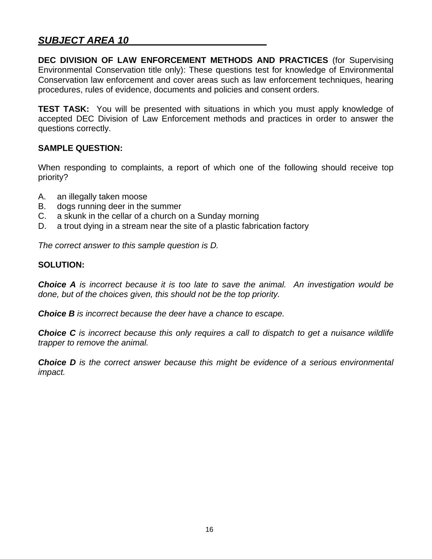**DEC DIVISION OF LAW ENFORCEMENT METHODS AND PRACTICES** (for Supervising Environmental Conservation title only): These questions test for knowledge of Environmental Conservation law enforcement and cover areas such as law enforcement techniques, hearing procedures, rules of evidence, documents and policies and consent orders.

**TEST TASK:** You will be presented with situations in which you must apply knowledge of accepted DEC Division of Law Enforcement methods and practices in order to answer the questions correctly.

#### **SAMPLE QUESTION:**

When responding to complaints, a report of which one of the following should receive top priority?

- A. an illegally taken moose
- B. dogs running deer in the summer
- C. a skunk in the cellar of a church on a Sunday morning
- D. a trout dying in a stream near the site of a plastic fabrication factory

*The correct answer to this sample question is D.* 

### **SOLUTION:**

*Choice A is incorrect because it is too late to save the animal. An investigation would be done, but of the choices given, this should not be the top priority.* 

*Choice B is incorrect because the deer have a chance to escape.* 

*Choice C is incorrect because this only requires a call to dispatch to get a nuisance wildlife trapper to remove the animal.* 

*Choice D is the correct answer because this might be evidence of a serious environmental impact.*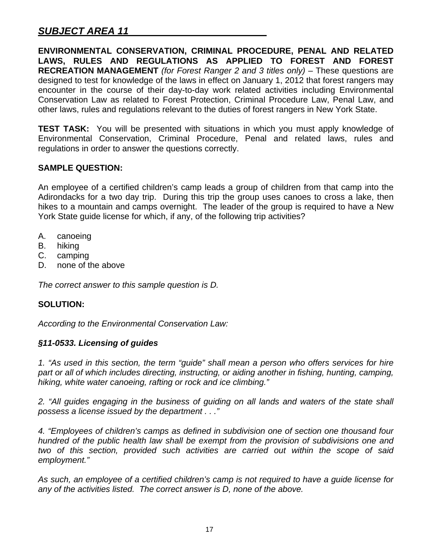**ENVIRONMENTAL CONSERVATION, CRIMINAL PROCEDURE, PENAL AND RELATED LAWS, RULES AND REGULATIONS AS APPLIED TO FOREST AND FOREST RECREATION MANAGEMENT** *(for Forest Ranger 2 and 3 titles only)* – These questions are designed to test for knowledge of the laws in effect on January 1, 2012 that forest rangers may encounter in the course of their day-to-day work related activities including Environmental Conservation Law as related to Forest Protection, Criminal Procedure Law, Penal Law, and other laws, rules and regulations relevant to the duties of forest rangers in New York State.

**TEST TASK:** You will be presented with situations in which you must apply knowledge of Environmental Conservation, Criminal Procedure, Penal and related laws, rules and regulations in order to answer the questions correctly.

### **SAMPLE QUESTION:**

An employee of a certified children's camp leads a group of children from that camp into the Adirondacks for a two day trip. During this trip the group uses canoes to cross a lake, then hikes to a mountain and camps overnight. The leader of the group is required to have a New York State guide license for which, if any, of the following trip activities?

- A. canoeing
- B. hiking
- C. camping
- D. none of the above

*The correct answer to this sample question is D.* 

#### **SOLUTION:**

*According to the Environmental Conservation Law:* 

#### *§11-0533. Licensing of guides*

*1. "As used in this section, the term "guide" shall mean a person who offers services for hire part or all of which includes directing, instructing, or aiding another in fishing, hunting, camping, hiking, white water canoeing, rafting or rock and ice climbing."* 

*2. "All guides engaging in the business of guiding on all lands and waters of the state shall possess a license issued by the department . . ."* 

*4. "Employees of children's camps as defined in subdivision one of section one thousand four hundred of the public health law shall be exempt from the provision of subdivisions one and two of this section, provided such activities are carried out within the scope of said employment."* 

*As such, an employee of a certified children's camp is not required to have a guide license for any of the activities listed. The correct answer is D, none of the above.*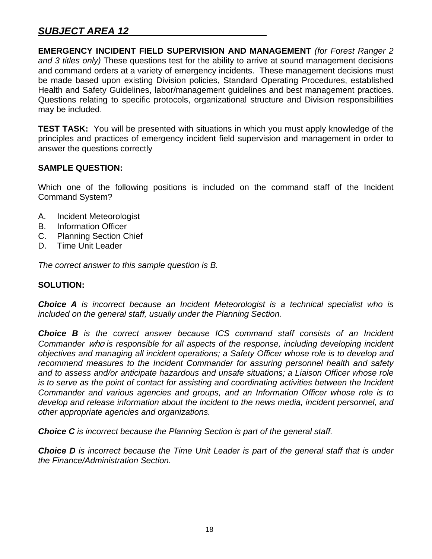**EMERGENCY INCIDENT FIELD SUPERVISION AND MANAGEMENT** *(for Forest Ranger 2 and 3 titles only)* These questions test for the ability to arrive at sound management decisions and command orders at a variety of emergency incidents. These management decisions must be made based upon existing Division policies, Standard Operating Procedures, established Health and Safety Guidelines, labor/management guidelines and best management practices. Questions relating to specific protocols, organizational structure and Division responsibilities may be included.

**TEST TASK:** You will be presented with situations in which you must apply knowledge of the principles and practices of emergency incident field supervision and management in order to answer the questions correctly

### **SAMPLE QUESTION:**

Which one of the following positions is included on the command staff of the Incident Command System?

- A. Incident Meteorologist
- B. Information Officer
- C. Planning Section Chief
- D. Time Unit Leader

*The correct answer to this sample question is B.* 

#### **SOLUTION:**

*Choice A is incorrect because an Incident Meteorologist is a technical specialist who is included on the general staff, usually under the Planning Section.* 

*Choice B is the correct answer because ICS command staff consists of an Incident Commander* who *is responsible for all aspects of the response, including developing incident objectives and managing all incident operations; a Safety Officer whose role is to develop and recommend measures to the Incident Commander for assuring personnel health and safety and to assess and/or anticipate hazardous and unsafe situations; a Liaison Officer whose role is to serve as the point of contact for assisting and coordinating activities between the Incident Commander and various agencies and groups, and an Information Officer whose role is to develop and release information about the incident to the news media, incident personnel, and other appropriate agencies and organizations.* 

*Choice C is incorrect because the Planning Section is part of the general staff.* 

**Choice D** is incorrect because the Time Unit Leader is part of the general staff that is under *the Finance/Administration Section.*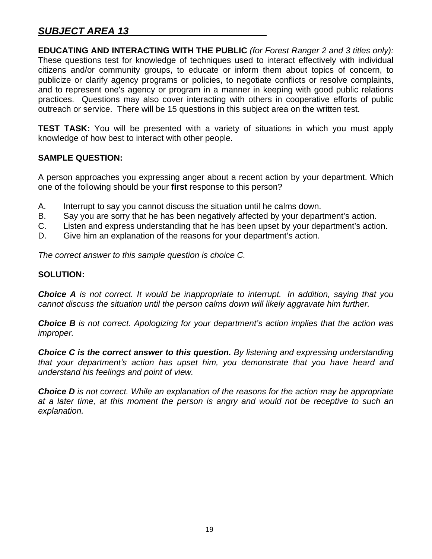**EDUCATING AND INTERACTING WITH THE PUBLIC** *(for Forest Ranger 2 and 3 titles only):* These questions test for knowledge of techniques used to interact effectively with individual citizens and/or community groups, to educate or inform them about topics of concern, to publicize or clarify agency programs or policies, to negotiate conflicts or resolve complaints, and to represent one's agency or program in a manner in keeping with good public relations practices. Questions may also cover interacting with others in cooperative efforts of public outreach or service. There will be 15 questions in this subject area on the written test.

**TEST TASK:** You will be presented with a variety of situations in which you must apply knowledge of how best to interact with other people.

### **SAMPLE QUESTION:**

A person approaches you expressing anger about a recent action by your department. Which one of the following should be your **first** response to this person?

- A. Interrupt to say you cannot discuss the situation until he calms down.
- B. Say you are sorry that he has been negatively affected by your department's action.
- C. Listen and express understanding that he has been upset by your department's action.
- D. Give him an explanation of the reasons for your department's action.

*The correct answer to this sample question is choice C.*

#### **SOLUTION:**

*Choice A is not correct. It would be inappropriate to interrupt. In addition, saying that you cannot discuss the situation until the person calms down will likely aggravate him further.* 

*Choice B is not correct. Apologizing for your department's action implies that the action was improper.* 

*Choice C is the correct answer to this question. By listening and expressing understanding that your department's action has upset him, you demonstrate that you have heard and understand his feelings and point of view.* 

**Choice D** is not correct. While an explanation of the reasons for the action may be appropriate *at a later time, at this moment the person is angry and would not be receptive to such an explanation.*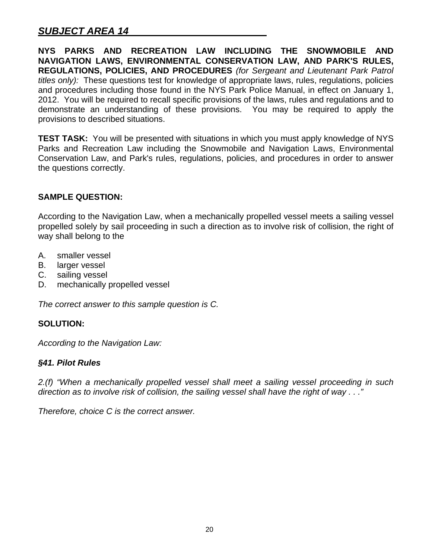**NYS PARKS AND RECREATION LAW INCLUDING THE SNOWMOBILE AND NAVIGATION LAWS, ENVIRONMENTAL CONSERVATION LAW, AND PARK'S RULES, REGULATIONS, POLICIES, AND PROCEDURES** *(for Sergeant and Lieutenant Park Patrol titles only):* These questions test for knowledge of appropriate laws, rules, regulations, policies and procedures including those found in the NYS Park Police Manual, in effect on January 1, 2012. You will be required to recall specific provisions of the laws, rules and regulations and to demonstrate an understanding of these provisions. You may be required to apply the provisions to described situations.

**TEST TASK:** You will be presented with situations in which you must apply knowledge of NYS Parks and Recreation Law including the Snowmobile and Navigation Laws, Environmental Conservation Law, and Park's rules, regulations, policies, and procedures in order to answer the questions correctly.

### **SAMPLE QUESTION:**

According to the Navigation Law, when a mechanically propelled vessel meets a sailing vessel propelled solely by sail proceeding in such a direction as to involve risk of collision, the right of way shall belong to the

- A. smaller vessel
- B. larger vessel
- C. sailing vessel
- D. mechanically propelled vessel

*The correct answer to this sample question is C.* 

### **SOLUTION:**

*According to the Navigation Law:* 

### *§41. Pilot Rules*

*2.(f) "When a mechanically propelled vessel shall meet a sailing vessel proceeding in such direction as to involve risk of collision, the sailing vessel shall have the right of way . . ."* 

*Therefore, choice C is the correct answer.*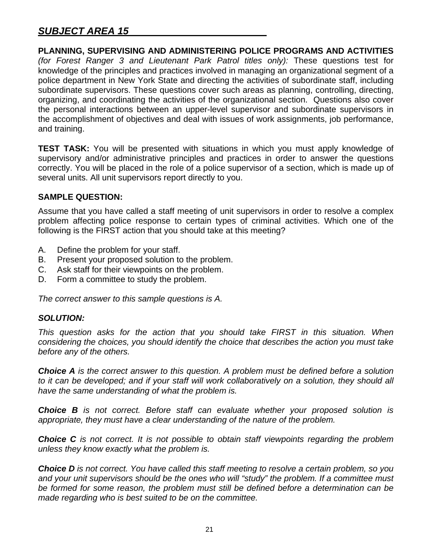**PLANNING, SUPERVISING AND ADMINISTERING POLICE PROGRAMS AND ACTIVITIES** *(for Forest Ranger 3 and Lieutenant Park Patrol titles only):* These questions test for knowledge of the principles and practices involved in managing an organizational segment of a police department in New York State and directing the activities of subordinate staff, including subordinate supervisors. These questions cover such areas as planning, controlling, directing, organizing, and coordinating the activities of the organizational section. Questions also cover the personal interactions between an upper-level supervisor and subordinate supervisors in the accomplishment of objectives and deal with issues of work assignments, job performance, and training.

**TEST TASK:** You will be presented with situations in which you must apply knowledge of supervisory and/or administrative principles and practices in order to answer the questions correctly. You will be placed in the role of a police supervisor of a section, which is made up of several units. All unit supervisors report directly to you.

### **SAMPLE QUESTION:**

Assume that you have called a staff meeting of unit supervisors in order to resolve a complex problem affecting police response to certain types of criminal activities. Which one of the following is the FIRST action that you should take at this meeting?

- A. Define the problem for your staff.
- B. Present your proposed solution to the problem.
- C. Ask staff for their viewpoints on the problem.
- D. Form a committee to study the problem.

*The correct answer to this sample questions is A.* 

#### *SOLUTION:*

*This question asks for the action that you should take FIRST in this situation. When considering the choices, you should identify the choice that describes the action you must take before any of the others.* 

**Choice A** is the correct answer to this question. A problem must be defined before a solution to it can be developed; and if your staff will work collaboratively on a solution, they should all *have the same understanding of what the problem is.* 

*Choice B is not correct. Before staff can evaluate whether your proposed solution is appropriate, they must have a clear understanding of the nature of the problem.* 

*Choice C is not correct. It is not possible to obtain staff viewpoints regarding the problem unless they know exactly what the problem is.* 

*Choice D is not correct. You have called this staff meeting to resolve a certain problem, so you and your unit supervisors should be the ones who will "study" the problem. If a committee must be formed for some reason, the problem must still be defined before a determination can be made regarding who is best suited to be on the committee.*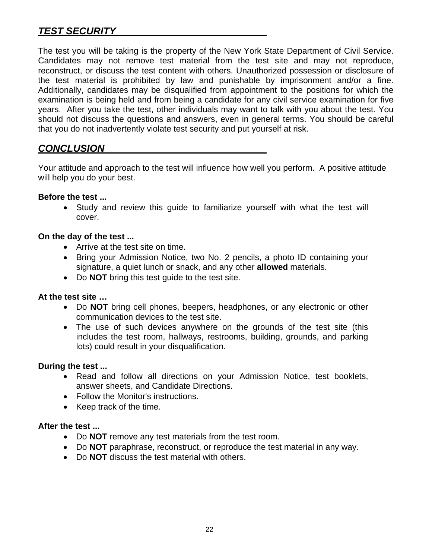# *TEST SECURITY*

The test you will be taking is the property of the New York State Department of Civil Service. Candidates may not remove test material from the test site and may not reproduce, reconstruct, or discuss the test content with others. Unauthorized possession or disclosure of the test material is prohibited by law and punishable by imprisonment and/or a fine. Additionally, candidates may be disqualified from appointment to the positions for which the examination is being held and from being a candidate for any civil service examination for five years. After you take the test, other individuals may want to talk with you about the test. You should not discuss the questions and answers, even in general terms. You should be careful that you do not inadvertently violate test security and put yourself at risk.

## *CONCLUSION*

Your attitude and approach to the test will influence how well you perform. A positive attitude will help you do your best.

#### **Before the test ...**

• Study and review this guide to familiarize yourself with what the test will cover.

#### **On the day of the test ...**

- Arrive at the test site on time.
- Bring your Admission Notice, two No. 2 pencils, a photo ID containing your signature, a quiet lunch or snack, and any other **allowed** materials.
- Do **NOT** bring this test guide to the test site.

#### **At the test site …**

- Do **NOT** bring cell phones, beepers, headphones, or any electronic or other communication devices to the test site.
- The use of such devices anywhere on the grounds of the test site (this includes the test room, hallways, restrooms, building, grounds, and parking lots) could result in your disqualification.

#### **During the test ...**

- Read and follow all directions on your Admission Notice, test booklets, answer sheets, and Candidate Directions.
- Follow the Monitor's instructions.
- Keep track of the time.

#### **After the test ...**

- Do **NOT** remove any test materials from the test room.
- Do **NOT** paraphrase, reconstruct, or reproduce the test material in any way.
- Do **NOT** discuss the test material with others.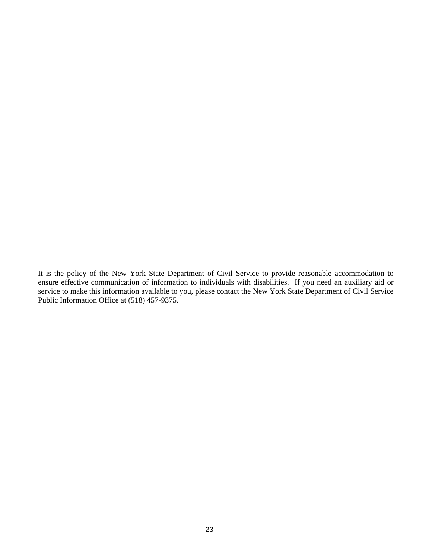It is the policy of the New York State Department of Civil Service to provide reasonable accommodation to ensure effective communication of information to individuals with disabilities. If you need an auxiliary aid or service to make this information available to you, please contact the New York State Department of Civil Service Public Information Office at (518) 457-9375.